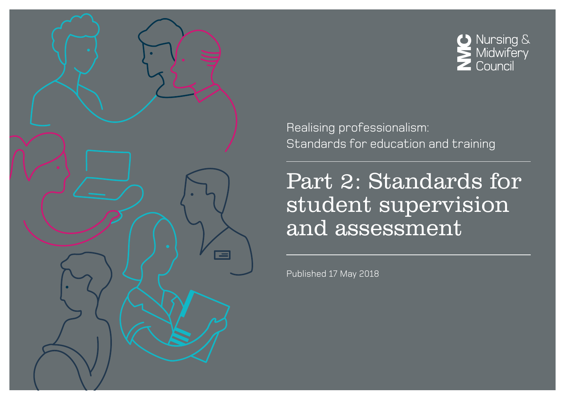



Realising professionalism: Standards for education and training

Part 2: Standards for student supervision and assessment

Published 17 May 2018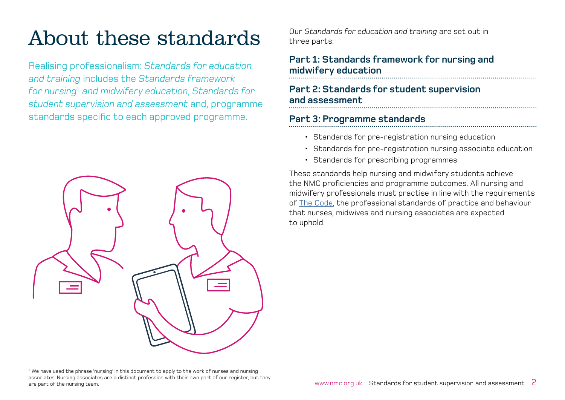# About these standards

Realising professionalism: *Standards for education and training* includes the *Standards framework for nursing*<sup>1</sup>  *and midwifery education*, *Standards for student supervision and assessment* and, programme standards specific to each approved programme.



Our *Standards for education and training* are set out in three parts:

## **[Part 1: Standards framework for nursing and](http://www.nmc.org.uk/Education-framework)  [midwifery education](http://www.nmc.org.uk/Education-framework)**

## **[Part 2: Standards for student supervision](http://www.nmc.org.uk/Student-supervision-assessment)  [and assessment](http://www.nmc.org.uk/Student-supervision-assessment)**

## **Part 3: Programme standards**

- [Standards for pre-registration nursing education](http://www.nmc.org.uk/Programme-standards-nursing)
- Standards for pre-registration nursing associate education
- [Standards for prescribing programmes](http://www.nmc.org.uk/Programme-standards-prescribing)

These standards help nursing and midwifery students achieve the NMC proficiencies and programme outcomes. All nursing and midwifery professionals must practise in line with the requirements of T[he Code,](https://www.nmc.org.uk/standards/code/) the professional standards of practice and behaviour that nurses, midwives and nursing associates are expected to uphold.

 $1$  We have used the phrase 'nursing' in this document to apply to the work of nurses and nursing associates. Nursing associates are a distinct profession with their own part of our register, but they are part of the nursing team.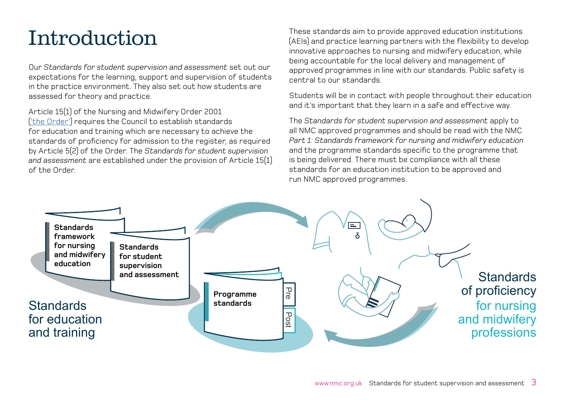# Introduction

Our *Standards for student supervision and assessment* set out our expectations for the learning, support and supervision of students in the practice environment. They also set out how students are assessed for theory and practice.

Article 15(1) of the Nursing and Midwifery Order 2001 [\('the Order'\)](https://www.nmc.org.uk/globalassets/sitedocuments/legislation/the-nursing-and-midwifery-order-2001-consolidated-text.pdf) requires the Council to establish standards for education and training which are necessary to achieve the standards of proficiency for admission to the register, as required by Article 5(2) of the Order. The *Standards for student supervision and assessment* are established under the provision of Article 15(1) of the Order.

These standards aim to provide approved education institutions (AEIs) and practice learning partners with the flexibility to develop innovative approaches to nursing and midwifery education, while being accountable for the local delivery and management of approved programmes in line with our standards. Public safety is central to our standards.

Students will be in contact with people throughout their education and it's important that they learn in a safe and effective way.

The *Standards for student supervision and assessment* apply to all NMC approved programmes and should be read with the NMC *Part 1: Standards framework for nursing and midwifery education* and the programme standards specific to the programme that is being delivered. There must be compliance with all these standards for an education institution to be approved and run NMC approved programmes.

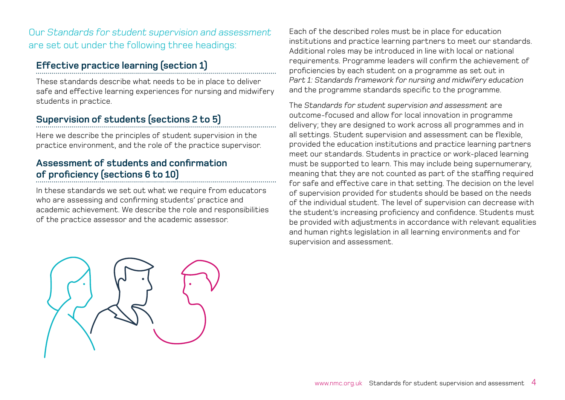## Our *Standards for student supervision and assessment* are set out under the following three headings:

## **[Effective practice learning \(section 1\)](#page-4-0)**

These standards describe what needs to be in place to deliver safe and effective learning experiences for nursing and midwifery students in practice.

## **[Supervision of students \(sections 2 to 5\)](#page-5-0)**

Here we describe the principles of student supervision in the practice environment, and the role of the practice supervisor.

## **[Assessment of students and confirmation](#page-7-0) [of proficiency \(sections 6 to 10\)](#page-7-0)**

In these standards we set out what we require from educators who are assessing and confirming students' practice and academic achievement. We describe the role and responsibilities of the practice assessor and the academic assessor.

Each of the described roles must be in place for education institutions and practice learning partners to meet our standards. Additional roles may be introduced in line with local or national requirements. Programme leaders will confirm the achievement of proficiencies by each student on a programme as set out in *Part 1: Standards framework for nursing and midwifery education* and the programme standards specific to the programme.

The *Standards for student supervision and assessment* are outcome-focused and allow for local innovation in programme delivery; they are designed to work across all programmes and in all settings. Student supervision and assessment can be flexible, provided the education institutions and practice learning partners meet our standards. Students in practice or work-placed learning must be supported to learn. This may include being supernumerary, meaning that they are not counted as part of the staffing required for safe and effective care in that setting. The decision on the level of supervision provided for students should be based on the needs of the individual student. The level of supervision can decrease with the student's increasing proficiency and confidence. Students must be provided with adjustments in accordance with relevant equalities and human rights legislation in all learning environments and for supervision and assessment.

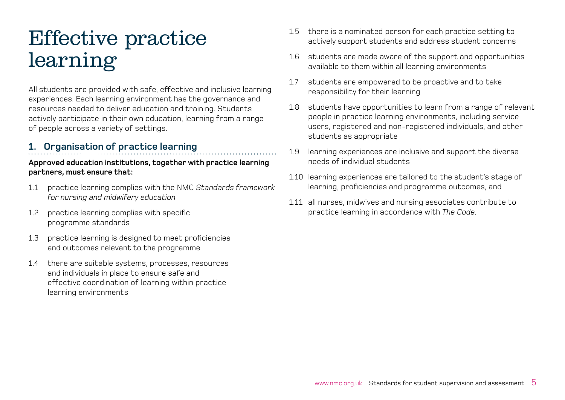# <span id="page-4-0"></span>Effective practice learning

All students are provided with safe, effective and inclusive learning experiences. Each learning environment has the governance and resources needed to deliver education and training. Students actively participate in their own education, learning from a range of people across a variety of settings.

## **1. Organisation of practice learning**

- 1.1 practice learning complies with the NMC *Standards framework for nursing and midwifery education*
- 1.2 practice learning complies with specific programme standards
- 1.3 practice learning is designed to meet proficiencies and outcomes relevant to the programme
- 1.4 there are suitable systems, processes, resources and individuals in place to ensure safe and effective coordination of learning within practice learning environments
- 1.5 there is a nominated person for each practice setting to actively support students and address student concerns
- 1.6 students are made aware of the support and opportunities available to them within all learning environments
- 1.7 students are empowered to be proactive and to take responsibility for their learning
- 1.8 students have opportunities to learn from a range of relevant people in practice learning environments, including service users, registered and non-registered individuals, and other students as appropriate
- 1.9 learning experiences are inclusive and support the diverse needs of individual students
- 1.10 learning experiences are tailored to the student's stage of learning, proficiencies and programme outcomes, and
- 1.11 all nurses, midwives and nursing associates contribute to practice learning in accordance with *The Code*.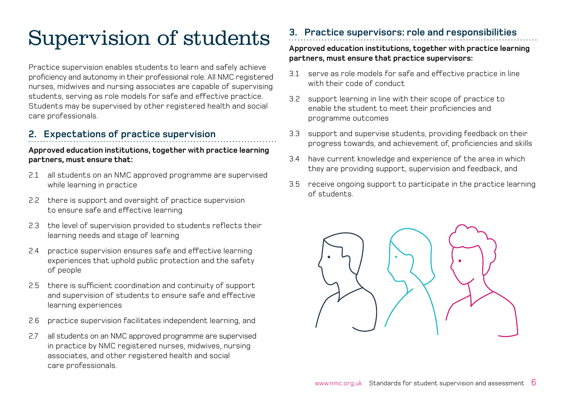# <span id="page-5-0"></span>Supervision of students

Practice supervision enables students to learn and safely achieve proficiency and autonomy in their professional role. All NMC registered nurses, midwives and nursing associates are capable of supervising students, serving as role models for safe and effective practice. Students may be supervised by other registered health and social care professionals.

## **2. Expectations of practice supervision**

#### **Approved education institutions, together with practice learning partners, must ensure that:**

- 2.1 all students on an NMC approved programme are supervised while learning in practice
- 2.2 there is support and oversight of practice supervision to ensure safe and effective learning
- 2.3 the level of supervision provided to students reflects their learning needs and stage of learning
- 2.4 practice supervision ensures safe and effective learning experiences that uphold public protection and the safety of people
- 2.5 there is sufficient coordination and continuity of support and supervision of students to ensure safe and effective learning experiences
- 2.6 practice supervision facilitates independent learning, and
- 2.7 all students on an NMC approved programme are supervised in practice by NMC registered nurses, midwives, nursing associates, and other registered health and social care professionals.

## **3. Practice supervisors: role and responsibilities**

#### **Approved education institutions, together with practice learning partners, must ensure that practice supervisors:**

- 3.1 serve as role models for safe and effective practice in line with their code of conduct.
- 3.2 support learning in line with their scope of practice to enable the student to meet their proficiencies and programme outcomes
- 3.3 support and supervise students, providing feedback on their progress towards, and achievement of, proficiencies and skills
- 3.4 have current knowledge and experience of the area in which they are providing support, supervision and feedback, and
- 3.5 receive ongoing support to participate in the practice learning of students.

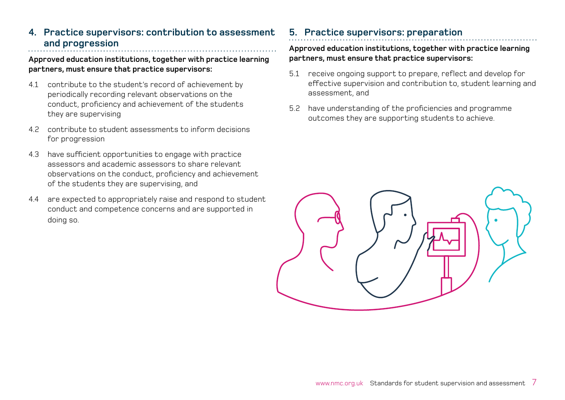## **4. Practice supervisors: contribution to assessment and progression**

#### **Approved education institutions, together with practice learning partners, must ensure that practice supervisors:**

- 4.1 contribute to the student's record of achievement by periodically recording relevant observations on the conduct, proficiency and achievement of the students they are supervising
- 4.2 contribute to student assessments to inform decisions for progression
- 4.3 have sufficient opportunities to engage with practice assessors and academic assessors to share relevant observations on the conduct, proficiency and achievement of the students they are supervising, and
- 4.4 are expected to appropriately raise and respond to student conduct and competence concerns and are supported in doing so.

## **5. Practice supervisors: preparation**

#### **Approved education institutions, together with practice learning partners, must ensure that practice supervisors:**

- 5.1 receive ongoing support to prepare, reflect and develop for effective supervision and contribution to, student learning and assessment, and
- 5.2 have understanding of the proficiencies and programme outcomes they are supporting students to achieve.

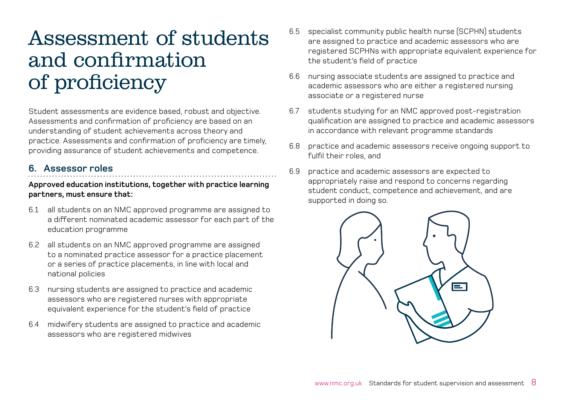## <span id="page-7-0"></span>Assessment of students and confirmation of proficiency

Student assessments are evidence based, robust and objective. Assessments and confirmation of proficiency are based on an understanding of student achievements across theory and practice. Assessments and confirmation of proficiency are timely, providing assurance of student achievements and competence.

#### **6. Assessor roles**

- 6.1 all students on an NMC approved programme are assigned to a different nominated academic assessor for each part of the education programme
- 6.2 all students on an NMC approved programme are assigned to a nominated practice assessor for a practice placement or a series of practice placements, in line with local and national policies
- 6.3 nursing students are assigned to practice and academic assessors who are registered nurses with appropriate equivalent experience for the student's field of practice
- 6.4 midwifery students are assigned to practice and academic assessors who are registered midwives
- 6.5 specialist community public health nurse (SCPHN) students are assigned to practice and academic assessors who are registered SCPHNs with appropriate equivalent experience for the student's field of practice
- 6.6 nursing associate students are assigned to practice and academic assessors who are either a registered nursing associate or a registered nurse
- 6.7 students studying for an NMC approved post-registration qualification are assigned to practice and academic assessors in accordance with relevant programme standards
- 6.8 practice and academic assessors receive ongoing support to fulfil their roles, and
- 6.9 practice and academic assessors are expected to appropriately raise and respond to concerns regarding student conduct, competence and achievement, and are supported in doing so.

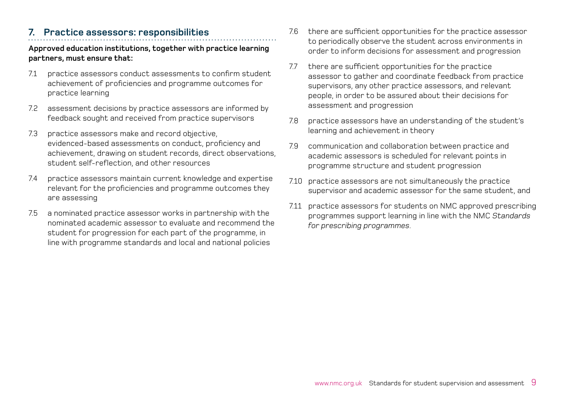### **7. Practice assessors: responsibilities**

- 7.1 practice assessors conduct assessments to confirm student achievement of proficiencies and programme outcomes for practice learning
- 7.2 assessment decisions by practice assessors are informed by feedback sought and received from practice supervisors
- 7.3 practice assessors make and record objective, evidenced-based assessments on conduct, proficiency and achievement, drawing on student records, direct observations, student self-reflection, and other resources
- 7.4 practice assessors maintain current knowledge and expertise relevant for the proficiencies and programme outcomes they are assessing
- 7.5 a nominated practice assessor works in partnership with the nominated academic assessor to evaluate and recommend the student for progression for each part of the programme, in line with programme standards and local and national policies
- 7.6 there are sufficient opportunities for the practice assessor to periodically observe the student across environments in order to inform decisions for assessment and progression
- 7.7 there are sufficient opportunities for the practice assessor to gather and coordinate feedback from practice supervisors, any other practice assessors, and relevant people, in order to be assured about their decisions for assessment and progression
- 7.8 practice assessors have an understanding of the student's learning and achievement in theory
- 7.9 communication and collaboration between practice and academic assessors is scheduled for relevant points in programme structure and student progression
- 7.10 practice assessors are not simultaneously the practice supervisor and academic assessor for the same student, and
- 7.11 practice assessors for students on NMC approved prescribing programmes support learning in line with the NMC *Standards for prescribing programmes*.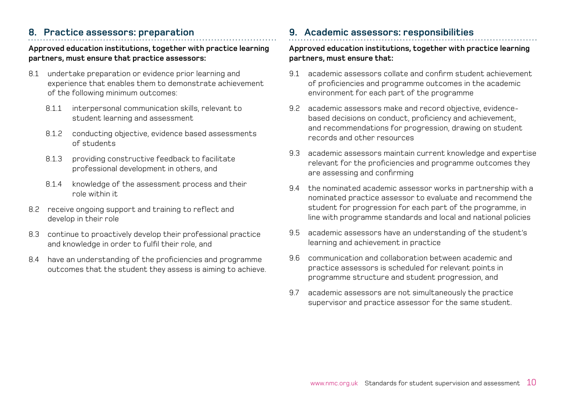## **8. Practice assessors: preparation**

#### **Approved education institutions, together with practice learning partners, must ensure that practice assessors:**

- 8.1 undertake preparation or evidence prior learning and experience that enables them to demonstrate achievement of the following minimum outcomes:
	- 8.1.1 interpersonal communication skills, relevant to student learning and assessment
	- 8.1.2 conducting objective, evidence based assessments of students
	- 8.1.3 providing constructive feedback to facilitate professional development in others, and
	- 8.1.4 knowledge of the assessment process and their role within it
- 8.2 receive ongoing support and training to reflect and develop in their role
- 8.3 continue to proactively develop their professional practice and knowledge in order to fulfil their role, and
- 8.4 have an understanding of the proficiencies and programme outcomes that the student they assess is aiming to achieve.

### **9. Academic assessors: responsibilities**

- 9.1 academic assessors collate and confirm student achievement of proficiencies and programme outcomes in the academic environment for each part of the programme
- 9.2 academic assessors make and record objective, evidencebased decisions on conduct, proficiency and achievement, and recommendations for progression, drawing on student records and other resources
- 9.3 academic assessors maintain current knowledge and expertise relevant for the proficiencies and programme outcomes they are assessing and confirming
- 9.4 the nominated academic assessor works in partnership with a nominated practice assessor to evaluate and recommend the student for progression for each part of the programme, in line with programme standards and local and national policies
- 9.5 academic assessors have an understanding of the student's learning and achievement in practice
- 9.6 communication and collaboration between academic and practice assessors is scheduled for relevant points in programme structure and student progression, and
- 9.7 academic assessors are not simultaneously the practice supervisor and practice assessor for the same student.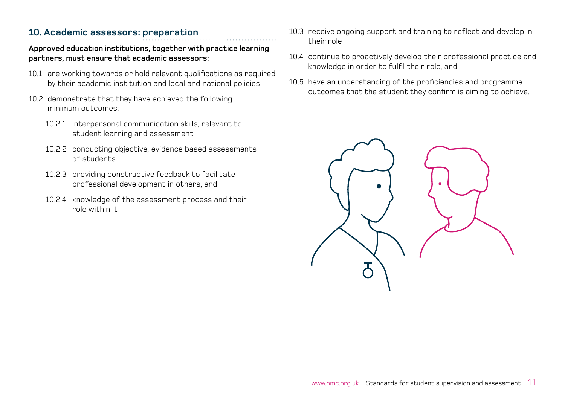## **10. Academic assessors: preparation**

- 10.1 are working towards or hold relevant qualifications as required by their academic institution and local and national policies
- 10.2 demonstrate that they have achieved the following minimum outcomes:
	- 10.2.1 interpersonal communication skills, relevant to student learning and assessment
	- 10.2.2 conducting objective, evidence based assessments of students
	- 10.2.3 providing constructive feedback to facilitate professional development in others, and
	- 10.2.4 knowledge of the assessment process and their role within it
- 10.3 receive ongoing support and training to reflect and develop in their role
- 10.4 continue to proactively develop their professional practice and knowledge in order to fulfil their role, and
- 10.5 have an understanding of the proficiencies and programme outcomes that the student they confirm is aiming to achieve.